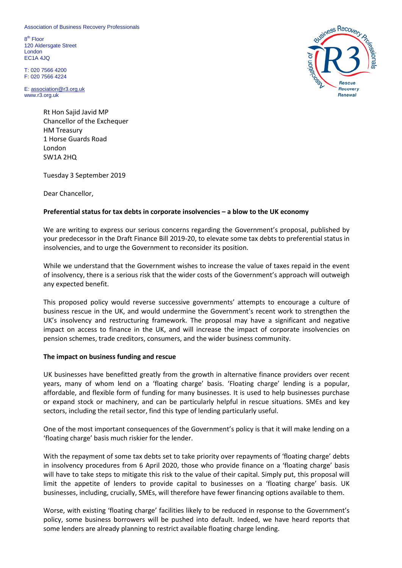Association of Business Recovery Professionals

8<sup>th</sup> Floor 120 Aldersgate Street London EC1A 4JQ

T: 020 7566 4200 F: 020 7566 4224

E: [association@r3.org.uk](mailto:association@r3.org.uk) www.r3.org.uk

> Rt Hon Sajid Javid MP Chancellor of the Exchequer HM Treasury 1 Horse Guards Road London SW1A 2HQ

Tuesday 3 September 2019

Dear Chancellor,

## **Preferential status for tax debts in corporate insolvencies – a blow to the UK economy**

We are writing to express our serious concerns regarding the Government's proposal, published by your predecessor in the Draft Finance Bill 2019-20, to elevate some tax debts to preferential status in insolvencies, and to urge the Government to reconsider its position.

While we understand that the Government wishes to increase the value of taxes repaid in the event of insolvency, there is a serious risk that the wider costs of the Government's approach will outweigh any expected benefit.

This proposed policy would reverse successive governments' attempts to encourage a culture of business rescue in the UK, and would undermine the Government's recent work to strengthen the UK's insolvency and restructuring framework. The proposal may have a significant and negative impact on access to finance in the UK, and will increase the impact of corporate insolvencies on pension schemes, trade creditors, consumers, and the wider business community.

## **The impact on business funding and rescue**

UK businesses have benefitted greatly from the growth in alternative finance providers over recent years, many of whom lend on a 'floating charge' basis. 'Floating charge' lending is a popular, affordable, and flexible form of funding for many businesses. It is used to help businesses purchase or expand stock or machinery, and can be particularly helpful in rescue situations. SMEs and key sectors, including the retail sector, find this type of lending particularly useful.

One of the most important consequences of the Government's policy is that it will make lending on a 'floating charge' basis much riskier for the lender.

With the repayment of some tax debts set to take priority over repayments of 'floating charge' debts in insolvency procedures from 6 April 2020, those who provide finance on a 'floating charge' basis will have to take steps to mitigate this risk to the value of their capital. Simply put, this proposal will limit the appetite of lenders to provide capital to businesses on a 'floating charge' basis. UK businesses, including, crucially, SMEs, will therefore have fewer financing options available to them.

Worse, with existing 'floating charge' facilities likely to be reduced in response to the Government's policy, some business borrowers will be pushed into default. Indeed, we have heard reports that some lenders are already planning to restrict available floating charge lending.

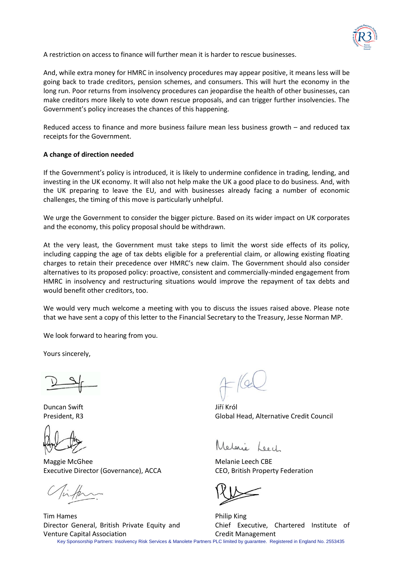

A restriction on access to finance will further mean it is harder to rescue businesses.

And, while extra money for HMRC in insolvency procedures may appear positive, it means less will be going back to trade creditors, pension schemes, and consumers. This will hurt the economy in the long run. Poor returns from insolvency procedures can jeopardise the health of other businesses, can make creditors more likely to vote down rescue proposals, and can trigger further insolvencies. The Government's policy increases the chances of this happening.

Reduced access to finance and more business failure mean less business growth – and reduced tax receipts for the Government.

## **A change of direction needed**

If the Government's policy is introduced, it is likely to undermine confidence in trading, lending, and investing in the UK economy. It will also not help make the UK a good place to do business. And, with the UK preparing to leave the EU, and with businesses already facing a number of economic challenges, the timing of this move is particularly unhelpful.

We urge the Government to consider the bigger picture. Based on its wider impact on UK corporates and the economy, this policy proposal should be withdrawn.

At the very least, the Government must take steps to limit the worst side effects of its policy, including capping the age of tax debts eligible for a preferential claim, or allowing existing floating charges to retain their precedence over HMRC's new claim. The Government should also consider alternatives to its proposed policy: proactive, consistent and commercially-minded engagement from HMRC in insolvency and restructuring situations would improve the repayment of tax debts and would benefit other creditors, too.

We would very much welcome a meeting with you to discuss the issues raised above. Please note that we have sent a copy of this letter to the Financial Secretary to the Treasury, Jesse Norman MP.

We look forward to hearing from you.

Yours sincerely,

Duncan Swift President, R3

Tim Hames

Maggie McGhee Executive Director (Governance), ACCA

Director General, British Private Equity and

Venture Capital Association

Jiří Król Global Head, Alternative Credit Council

Melgrie Loock

Melanie Leech CBE CEO, British Property Federation

Philip King Chief Executive, Chartered Institute of Credit Management

Key Sponsorship Partners: Insolvency Risk Services & Manolete Partners PLC limited by guarantee. Registered in England No. 2553435